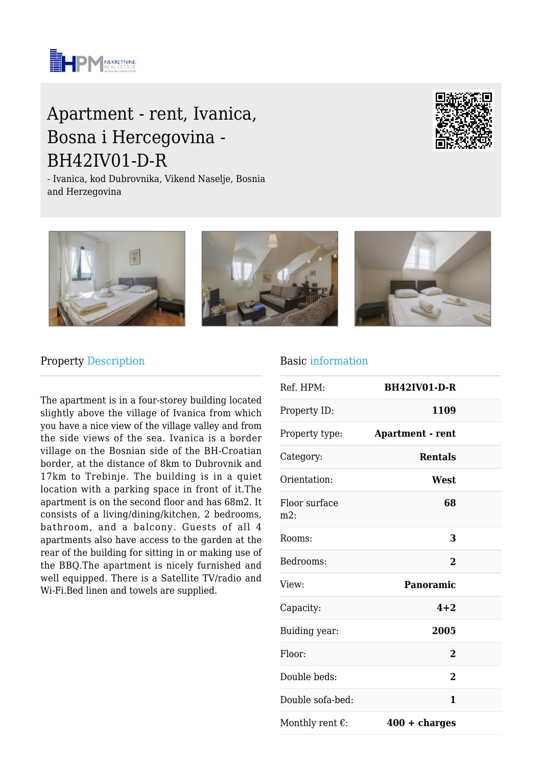

# Apartment - rent, Ivanica, Bosna i Hercegovina - BH42IV01-D-R

- Ivanica, kod Dubrovnika, Vikend Naselje, Bosnia and Herzegovina





#### Property Description

The apartment is in a four-storey building located slightly above the village of Ivanica from which you have a nice view of the village valley and from the side views of the sea. Ivanica is a border village on the Bosnian side of the BH-Croatian border, at the distance of 8km to Dubrovnik and 17km to Trebinje. The building is in a quiet location with a parking space in front of it.The apartment is on the second floor and has 68m2. It consists of a living/dining/kitchen, 2 bedrooms, bathroom, and a balcony. Guests of all 4 apartments also have access to the garden at the rear of the building for sitting in or making use of the BBQ.The apartment is nicely furnished and well equipped. There is a Satellite TV/radio and Wi-Fi.Bed linen and towels are supplied.

#### Basic information

| Ref. HPM:                 | <b>BH42IV01-D-R</b>     |  |
|---------------------------|-------------------------|--|
| Property ID:              | 1109                    |  |
| Property type:            | <b>Apartment - rent</b> |  |
| Category:                 | <b>Rentals</b>          |  |
| Orientation:              | West                    |  |
| Floor surface<br>$m2$ :   | 68                      |  |
| Rooms:                    | 3                       |  |
| Bedrooms:                 | $\bf{2}$                |  |
| View:                     | Panoramic               |  |
| Capacity:                 | $4 + 2$                 |  |
| Buiding year:             | 2005                    |  |
| Floor:                    | $\overline{2}$          |  |
| Double beds:              | $\overline{2}$          |  |
| Double sofa-bed:          | 1                       |  |
| Monthly rent $\epsilon$ : | $400 + charges$         |  |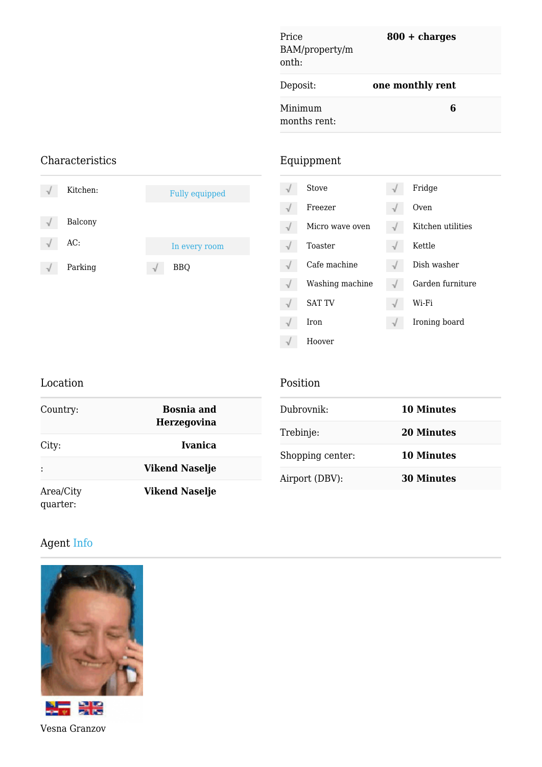| Price<br>BAM/property/m<br>onth: | $800 + charges$  |  |
|----------------------------------|------------------|--|
| Deposit:                         | one monthly rent |  |
| Minimum<br>months rent:          | 6                |  |

## Characteristics

| Kitchen: | <b>Fully equipped</b> |   | Stove           | Fridge            |
|----------|-----------------------|---|-----------------|-------------------|
|          |                       | V | Freezer         | Oven              |
| Balcony  |                       | V | Micro wave oven | Kitchen utilities |
| AC:      | In every room         |   | Toaster         | Kettle            |
| Parking  | <b>BBQ</b>            |   | Cafe machine    | Dish washer       |
|          |                       | V | Washing machine | Garden furniture  |
|          |                       | V | <b>SAT TV</b>   | Wi-Fi             |
|          |                       | V | Iron            | Ironing board     |

### Location

|  | Position |  |
|--|----------|--|
|  |          |  |

 $\sqrt{}$ 

Hoover

Equippment

| <b>Bosnia and</b><br>Country:<br><b>Herzegovina</b> |                       | Dubrovnik:       | <b>10 Minutes</b> |
|-----------------------------------------------------|-----------------------|------------------|-------------------|
|                                                     |                       | Trebinje:        | <b>20 Minutes</b> |
| City:                                               | Ivanica               | Shopping center: | <b>10 Minutes</b> |
| $\ddot{\cdot}$                                      | <b>Vikend Naselje</b> | Airport (DBV):   | <b>30 Minutes</b> |
| Area/City<br>quarter:                               | <b>Vikend Naselje</b> |                  |                   |

# Agent Info



Vesna Granzov